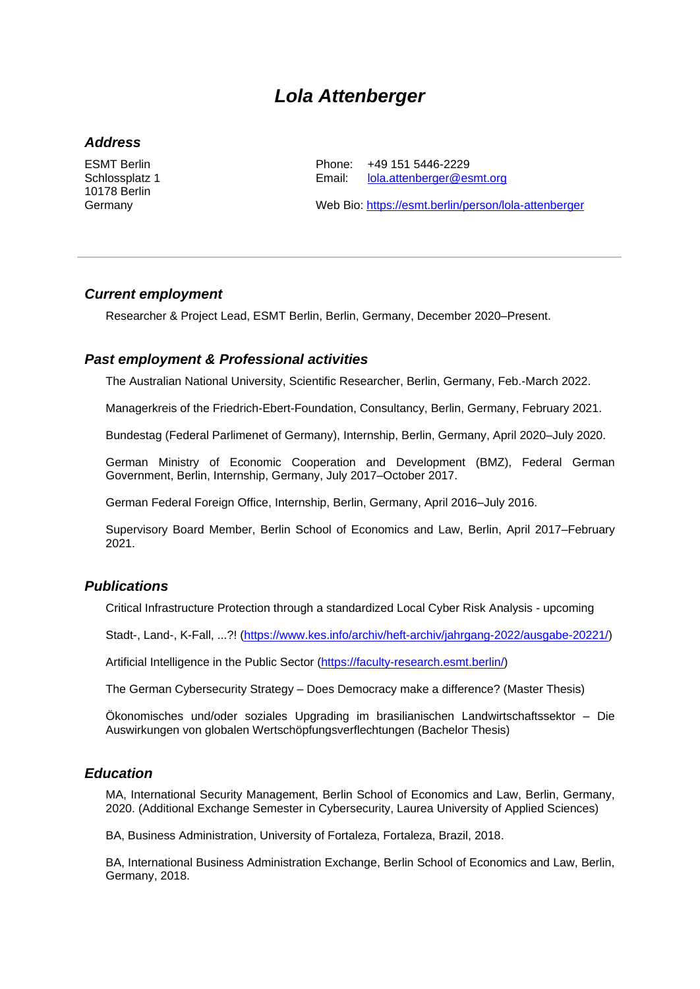# *Lola Attenberger*

#### *Address*

ESMT Berlin Schlossplatz 1 10178 Berlin Germany

Phone: +49 151 5446-2229 Email: [lola.attenberger@esmt.org](mailto:lola.attenberger@esmt.org)

Web Bio:<https://esmt.berlin/person/lola-attenberger>

### *Current employment*

Researcher & Project Lead, ESMT Berlin, Berlin, Germany, December 2020–Present.

# *Past employment & Professional activities*

The Australian National University, Scientific Researcher, Berlin, Germany, Feb.-March 2022.

Managerkreis of the Friedrich-Ebert-Foundation, Consultancy, Berlin, Germany, February 2021.

Bundestag (Federal Parlimenet of Germany), Internship, Berlin, Germany, April 2020–July 2020.

German Ministry of Economic Cooperation and Development (BMZ), Federal German Government, Berlin, Internship, Germany, July 2017–October 2017.

German Federal Foreign Office, Internship, Berlin, Germany, April 2016–July 2016.

Supervisory Board Member, Berlin School of Economics and Law, Berlin, April 2017–February 2021.

# *Publications*

Critical Infrastructure Protection through a standardized Local Cyber Risk Analysis - upcoming

Stadt-, Land-, K-Fall, ...?! [\(https://www.kes.info/archiv/heft-archiv/jahrgang-2022/ausgabe-20221/\)](https://www.kes.info/archiv/heft-archiv/jahrgang-2022/ausgabe-20221/)

[Artificial Intelligence in the Public Sector](https://www.digitalmeasures.com/login/org-esmt/faculty/app/activities/instruments/848/screens/884623/records/164559460352?_s=0) [\(https://faculty-research.esmt.berlin/\)](https://faculty-research.esmt.berlin/)

The German Cybersecurity Strategy – Does Democracy make a difference? (Master Thesis)

Ökonomisches und/oder soziales Upgrading im brasilianischen Landwirtschaftssektor – Die Auswirkungen von globalen Wertschöpfungsverflechtungen (Bachelor Thesis)

#### *Education*

MA, International Security Management, Berlin School of Economics and Law, Berlin, Germany, 2020. (Additional Exchange Semester in Cybersecurity, Laurea University of Applied Sciences)

BA, Business Administration, University of Fortaleza, Fortaleza, Brazil, 2018.

BA, International Business Administration Exchange, Berlin School of Economics and Law, Berlin, Germany, 2018.